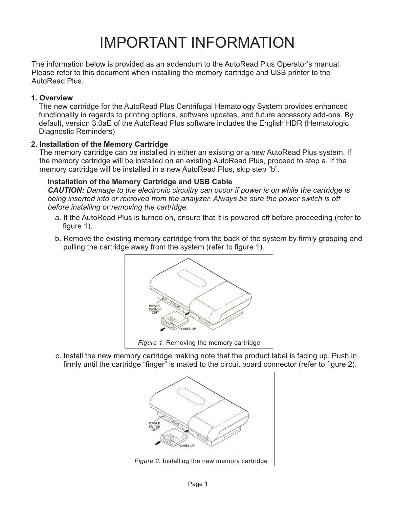# IMPORTANT INFORMATION

The information below is provided as an addendum to the AutoRead Plus Operator's manual. Please refer to this document when installing the memory cartridge and USB printer to the AutoRead Plus.

## **1. Overview**

The new cartridge for the AutoRead Plus Centrifugal Hematology System provides enhanced functionality in regards to printing options, software updates, and future accessory add-ons. By default, version 3.0aE of the AutoRead Plus software includes the English HDR (Hematologic Diagnostic Reminders)

## **2. Installation of the Memory Cartridge**

The memory cartridge can be installed in either an existing or a new AutoRead Plus system. If the memory cartridge will be installed on an existing AutoRead Plus, proceed to step a. If the memory cartridge will be installed in a new AutoRead Plus, skip step "b".

## **Installation of the Memory Cartridge and USB Cable**

*CAUTION: Damage to the electronic circuitry can occur if power is on while the cartridge is being inserted into or removed from the analyzer. Always be sure the power switch is off before installing or removing the cartridge.*

- a. If the AutoRead Plus is turned on, ensure that it is powered off before proceeding (refer to figure 1).
- b. Remove the existing memory cartridge from the back of the system by firmly grasping and pulling the cartridge away from the system (refer to figure 1).



c. Install the new memory cartridge making note that the product label is facing up. Push in firmly until the cartridge "finger" is mated to the circuit board connector (refer to figure 2).